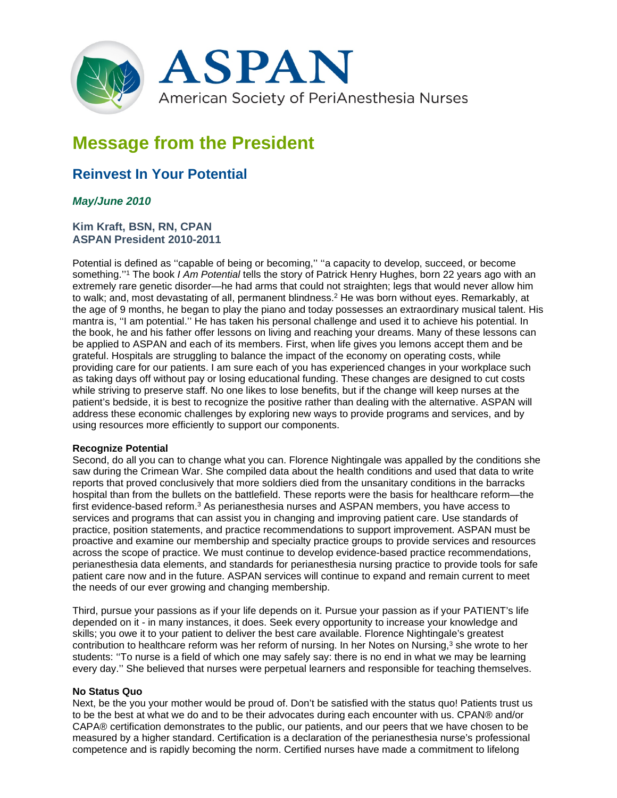

# **Message from the President**

## **Reinvest In Your Potential**

### *May/June 2010*

#### **Kim Kraft, BSN, RN, CPAN ASPAN President 2010-2011**

Potential is defined as "capable of being or becoming," "a capacity to develop, succeed, or become something.''1 The book *I Am Potential* tells the story of Patrick Henry Hughes, born 22 years ago with an extremely rare genetic disorder—he had arms that could not straighten; legs that would never allow him to walk; and, most devastating of all, permanent blindness.<sup>2</sup> He was born without eyes. Remarkably, at the age of 9 months, he began to play the piano and today possesses an extraordinary musical talent. His mantra is, ''I am potential.'' He has taken his personal challenge and used it to achieve his potential. In the book, he and his father offer lessons on living and reaching your dreams. Many of these lessons can be applied to ASPAN and each of its members. First, when life gives you lemons accept them and be grateful. Hospitals are struggling to balance the impact of the economy on operating costs, while providing care for our patients. I am sure each of you has experienced changes in your workplace such as taking days off without pay or losing educational funding. These changes are designed to cut costs while striving to preserve staff. No one likes to lose benefits, but if the change will keep nurses at the patient's bedside, it is best to recognize the positive rather than dealing with the alternative. ASPAN will address these economic challenges by exploring new ways to provide programs and services, and by using resources more efficiently to support our components.

#### **Recognize Potential**

Second, do all you can to change what you can. Florence Nightingale was appalled by the conditions she saw during the Crimean War. She compiled data about the health conditions and used that data to write reports that proved conclusively that more soldiers died from the unsanitary conditions in the barracks hospital than from the bullets on the battlefield. These reports were the basis for healthcare reform—the first evidence-based reform.3 As perianesthesia nurses and ASPAN members, you have access to services and programs that can assist you in changing and improving patient care. Use standards of practice, position statements, and practice recommendations to support improvement. ASPAN must be proactive and examine our membership and specialty practice groups to provide services and resources across the scope of practice. We must continue to develop evidence-based practice recommendations, perianesthesia data elements, and standards for perianesthesia nursing practice to provide tools for safe patient care now and in the future. ASPAN services will continue to expand and remain current to meet the needs of our ever growing and changing membership.

Third, pursue your passions as if your life depends on it. Pursue your passion as if your PATIENT's life depended on it - in many instances, it does. Seek every opportunity to increase your knowledge and skills; you owe it to your patient to deliver the best care available. Florence Nightingale's greatest contribution to healthcare reform was her reform of nursing. In her Notes on Nursing,<sup>3</sup> she wrote to her students: ''To nurse is a field of which one may safely say: there is no end in what we may be learning every day.'' She believed that nurses were perpetual learners and responsible for teaching themselves.

#### **No Status Quo**

Next, be the you your mother would be proud of. Don't be satisfied with the status quo! Patients trust us to be the best at what we do and to be their advocates during each encounter with us. CPAN® and/or CAPA® certification demonstrates to the public, our patients, and our peers that we have chosen to be measured by a higher standard. Certification is a declaration of the perianesthesia nurse's professional competence and is rapidly becoming the norm. Certified nurses have made a commitment to lifelong